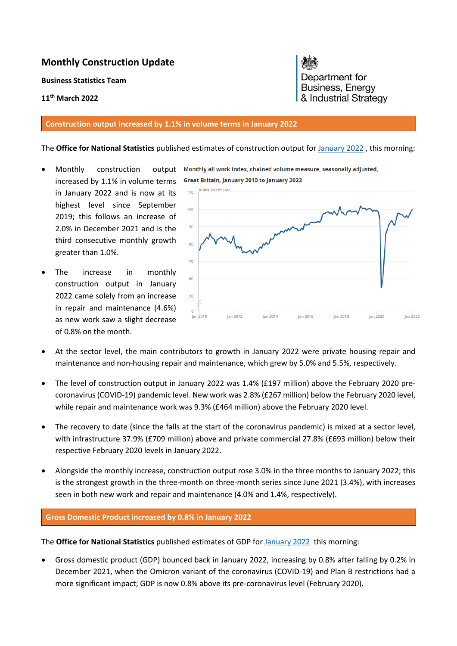# **Monthly Construction Update**

**Business Statistics Team** 

## **11th March 2022**

#### **Construction output increased by 1.1% in volume terms in January 2022**

#### The **Office for National Statistics** published estimates of construction output fo[r January 2022](https://www.ons.gov.uk/businessindustryandtrade/constructionindustry/bulletins/constructionoutputingreatbritain/january2022) , this morning:

- Monthly construction output Monthly all work index, chained volume measure, seasonally adjusted, increased by 1.1% in volume terms in January 2022 and is now at its highest level since September 2019; this follows an increase of 2.0% in December 2021 and is the third consecutive monthly growth greater than 1.0%.
- The increase in monthly construction output in January 2022 came solely from an increase in repair and maintenance (4.6%) as new work saw a slight decrease of 0.8% on the month.



- At the sector level, the main contributors to growth in January 2022 were private housing repair and maintenance and non-housing repair and maintenance, which grew by 5.0% and 5.5%, respectively.
- The level of construction output in January 2022 was 1.4% (£197 million) above the February 2020 precoronavirus (COVID-19) pandemic level. New work was 2.8% (£267 million) below the February 2020 level, while repair and maintenance work was 9.3% (£464 million) above the February 2020 level.
- The recovery to date (since the falls at the start of the coronavirus pandemic) is mixed at a sector level, with infrastructure 37.9% (£709 million) above and private commercial 27.8% (£693 million) below their respective February 2020 levels in January 2022.
- Alongside the monthly increase, construction output rose 3.0% in the three months to January 2022; this is the strongest growth in the three-month on three-month series since June 2021 (3.4%), with increases seen in both new work and repair and maintenance (4.0% and 1.4%, respectively).

### **Gross Domestic Product increased by 0.8% in January 2022**

The **Office for National Statistics** published estimates of GDP for [January 2022](https://www.ons.gov.uk/economy/grossdomesticproductgdp/bulletins/gdpmonthlyestimateuk/january2022) this morning:

 Gross domestic product (GDP) bounced back in January 2022, increasing by 0.8% after falling by 0.2% in December 2021, when the Omicron variant of the coronavirus (COVID-19) and Plan B restrictions had a more significant impact; GDP is now 0.8% above its pre-coronavirus level (February 2020).

Department for Business, Energy & Industrial Strategy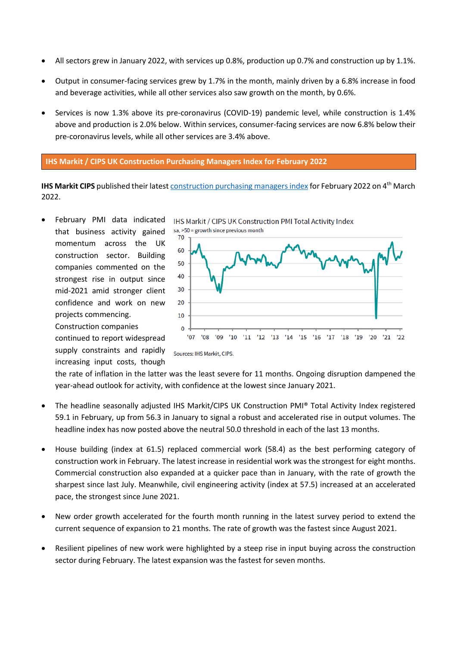- All sectors grew in January 2022, with services up 0.8%, production up 0.7% and construction up by 1.1%.
- Output in consumer-facing services grew by 1.7% in the month, mainly driven by a 6.8% increase in food and beverage activities, while all other services also saw growth on the month, by 0.6%.
- Services is now 1.3% above its pre-coronavirus (COVID-19) pandemic level, while construction is 1.4% above and production is 2.0% below. Within services, consumer-facing services are now 6.8% below their pre-coronavirus levels, while all other services are 3.4% above.

**IHS Markit / CIPS UK Construction Purchasing Managers Index for February 2022** 

**IHS Markit CIPS** published their lates[t construction purchasing managers index f](https://www.markiteconomics.com/Public/Release/PressReleases?language=en)or February 2022 on 4th March 2022.

 February PMI data indicated that business activity gained momentum across the UK construction sector. Building companies commented on the strongest rise in output since mid-2021 amid stronger client confidence and work on new projects commencing.



continued to report widespread supply constraints and rapidly increasing input costs, though

Construction companies

the rate of inflation in the latter was the least severe for 11 months. Ongoing disruption dampened the year-ahead outlook for activity, with confidence at the lowest since January 2021.

- The headline seasonally adjusted IHS Markit/CIPS UK Construction PMI® Total Activity Index registered 59.1 in February, up from 56.3 in January to signal a robust and accelerated rise in output volumes. The headline index has now posted above the neutral 50.0 threshold in each of the last 13 months.
- House building (index at 61.5) replaced commercial work (58.4) as the best performing category of construction work in February. The latest increase in residential work was the strongest for eight months. Commercial construction also expanded at a quicker pace than in January, with the rate of growth the sharpest since last July. Meanwhile, civil engineering activity (index at 57.5) increased at an accelerated pace, the strongest since June 2021.
- New order growth accelerated for the fourth month running in the latest survey period to extend the current sequence of expansion to 21 months. The rate of growth was the fastest since August 2021.
- Resilient pipelines of new work were highlighted by a steep rise in input buying across the construction sector during February. The latest expansion was the fastest for seven months.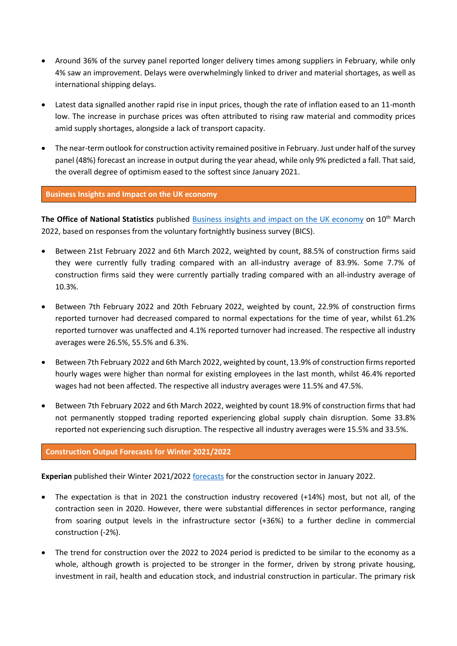- Around 36% of the survey panel reported longer delivery times among suppliers in February, while only 4% saw an improvement. Delays were overwhelmingly linked to driver and material shortages, as well as international shipping delays.
- Latest data signalled another rapid rise in input prices, though the rate of inflation eased to an 11-month low. The increase in purchase prices was often attributed to rising raw material and commodity prices amid supply shortages, alongside a lack of transport capacity.
- The near-term outlook for construction activity remained positive in February. Just under half of the survey panel (48%) forecast an increase in output during the year ahead, while only 9% predicted a fall. That said, the overall degree of optimism eased to the softest since January 2021.

### **Business Insights and Impact on the UK economy**

The Office of National Statistics published [Business insights and impact on the UK economy](https://www.ons.gov.uk/businessindustryandtrade/business/businessservices/bulletins/businessinsightsandimpactontheukeconomy/10march2022) on 10<sup>th</sup> March 2022, based on responses from the voluntary fortnightly business survey (BICS).

- Between 21st February 2022 and 6th March 2022, weighted by count, 88.5% of construction firms said they were currently fully trading compared with an all-industry average of 83.9%. Some 7.7% of construction firms said they were currently partially trading compared with an all-industry average of 10.3%.
- Between 7th February 2022 and 20th February 2022, weighted by count, 22.9% of construction firms reported turnover had decreased compared to normal expectations for the time of year, whilst 61.2% reported turnover was unaffected and 4.1% reported turnover had increased. The respective all industry averages were 26.5%, 55.5% and 6.3%.
- Between 7th February 2022 and 6th March 2022, weighted by count, 13.9% of construction firms reported hourly wages were higher than normal for existing employees in the last month, whilst 46.4% reported wages had not been affected. The respective all industry averages were 11.5% and 47.5%.
- Between 7th February 2022 and 6th March 2022, weighted by count 18.9% of construction firms that had not permanently stopped trading reported experiencing global supply chain disruption. Some 33.8% reported not experiencing such disruption. The respective all industry averages were 15.5% and 33.5%.

## **Construction Output Forecasts for Winter 2021/2022**

Experian published their Winter 2021/2022 [forecasts](http://www.experian.co.uk/economics/economic-forecasts/uk-construction-forecast.html) for the construction sector in January 2022.

- The expectation is that in 2021 the construction industry recovered (+14%) most, but not all, of the contraction seen in 2020. However, there were substantial differences in sector performance, ranging from soaring output levels in the infrastructure sector (+36%) to a further decline in commercial construction (-2%).
- The trend for construction over the 2022 to 2024 period is predicted to be similar to the economy as a whole, although growth is projected to be stronger in the former, driven by strong private housing, investment in rail, health and education stock, and industrial construction in particular. The primary risk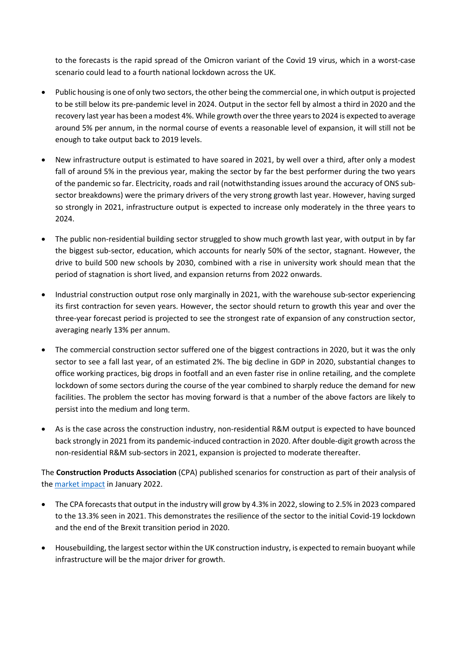to the forecasts is the rapid spread of the Omicron variant of the Covid 19 virus, which in a worst-case scenario could lead to a fourth national lockdown across the UK.

- Public housing is one of only two sectors, the other being the commercial one, in which output is projected to be still below its pre-pandemic level in 2024. Output in the sector fell by almost a third in 2020 and the recovery last year has been a modest 4%. While growth over the three years to 2024 is expected to average around 5% per annum, in the normal course of events a reasonable level of expansion, it will still not be enough to take output back to 2019 levels.
- New infrastructure output is estimated to have soared in 2021, by well over a third, after only a modest fall of around 5% in the previous year, making the sector by far the best performer during the two years of the pandemic so far. Electricity, roads and rail (notwithstanding issues around the accuracy of ONS subsector breakdowns) were the primary drivers of the very strong growth last year. However, having surged so strongly in 2021, infrastructure output is expected to increase only moderately in the three years to 2024.
- The public non-residential building sector struggled to show much growth last year, with output in by far the biggest sub-sector, education, which accounts for nearly 50% of the sector, stagnant. However, the drive to build 500 new schools by 2030, combined with a rise in university work should mean that the period of stagnation is short lived, and expansion returns from 2022 onwards.
- Industrial construction output rose only marginally in 2021, with the warehouse sub-sector experiencing its first contraction for seven years. However, the sector should return to growth this year and over the three-year forecast period is projected to see the strongest rate of expansion of any construction sector, averaging nearly 13% per annum.
- The commercial construction sector suffered one of the biggest contractions in 2020, but it was the only sector to see a fall last year, of an estimated 2%. The big decline in GDP in 2020, substantial changes to office working practices, big drops in footfall and an even faster rise in online retailing, and the complete lockdown of some sectors during the course of the year combined to sharply reduce the demand for new facilities. The problem the sector has moving forward is that a number of the above factors are likely to persist into the medium and long term.
- As is the case across the construction industry, non-residential R&M output is expected to have bounced back strongly in 2021 from its pandemic-induced contraction in 2020. After double-digit growth across the non-residential R&M sub-sectors in 2021, expansion is projected to moderate thereafter.

The **Construction Products Association** (CPA) published scenarios for construction as part of their analysis of the [market impact](https://www.constructionproducts.org.uk/publications/economics/) in January 2022.

- The CPA forecasts that output in the industry will grow by 4.3% in 2022, slowing to 2.5% in 2023 compared to the 13.3% seen in 2021. This demonstrates the resilience of the sector to the initial Covid-19 lockdown and the end of the Brexit transition period in 2020.
- Housebuilding, the largest sector within the UK construction industry, is expected to remain buoyant while infrastructure will be the major driver for growth.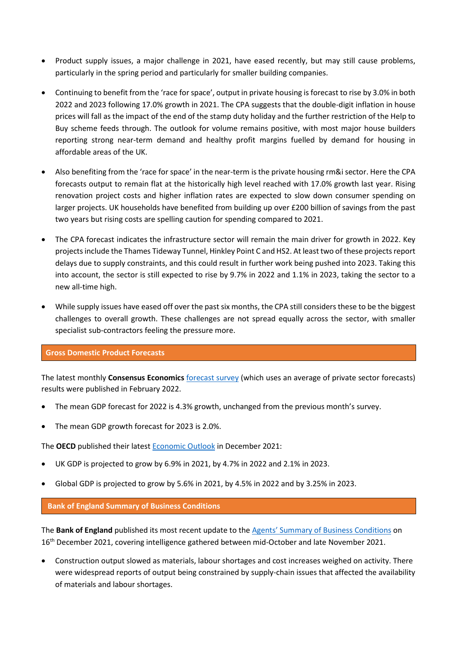- Product supply issues, a major challenge in 2021, have eased recently, but may still cause problems, particularly in the spring period and particularly for smaller building companies.
- Continuing to benefit from the 'race for space', output in private housing is forecast to rise by 3.0% in both 2022 and 2023 following 17.0% growth in 2021. The CPA suggests that the double-digit inflation in house prices will fall as the impact of the end of the stamp duty holiday and the further restriction of the Help to Buy scheme feeds through. The outlook for volume remains positive, with most major house builders reporting strong near-term demand and healthy profit margins fuelled by demand for housing in affordable areas of the UK.
- Also benefiting from the 'race for space' in the near-term is the private housing rm&i sector. Here the CPA forecasts output to remain flat at the historically high level reached with 17.0% growth last year. Rising renovation project costs and higher inflation rates are expected to slow down consumer spending on larger projects. UK households have benefited from building up over £200 billion of savings from the past two years but rising costs are spelling caution for spending compared to 2021.
- The CPA forecast indicates the infrastructure sector will remain the main driver for growth in 2022. Key projects include the Thames Tideway Tunnel, Hinkley Point C and HS2. At least two of these projects report delays due to supply constraints, and this could result in further work being pushed into 2023. Taking this into account, the sector is still expected to rise by 9.7% in 2022 and 1.1% in 2023, taking the sector to a new all-time high.
- While supply issues have eased off over the past six months, the CPA still considers these to be the biggest challenges to overall growth. These challenges are not spread equally across the sector, with smaller specialist sub-contractors feeling the pressure more.

### **Gross Domestic Product Forecasts**

The latest monthly **Consensus Economics** [forecast survey](http://www.consensuseconomics.com/download/G7_Economic_Forecasts.htm) (which uses an average of private sector forecasts) results were published in February 2022.

- The mean GDP forecast for 2022 is 4.3% growth, unchanged from the previous month's survey.
- The mean GDP growth forecast for 2023 is 2.0%.

The **OECD** published their lates[t Economic Outlook i](https://www.oecd-ilibrary.org/economics/oecd-economic-outlook_16097408)n December 2021:

- UK GDP is projected to grow by 6.9% in 2021, by 4.7% in 2022 and 2.1% in 2023.
- Global GDP is projected to grow by 5.6% in 2021, by 4.5% in 2022 and by 3.25% in 2023.

### **Bank of England Summary of Business Conditions**

The **Bank of England** published its most recent update to th[e Agents' Summary of Business Conditions](https://www.bankofengland.co.uk/agents-summary/2021/2021-q4) on 16<sup>th</sup> December 2021, covering intelligence gathered between mid-October and late November 2021.

 Construction output slowed as materials, labour shortages and cost increases weighed on activity. There were widespread reports of output being constrained by supply-chain issues that affected the availability of materials and labour shortages.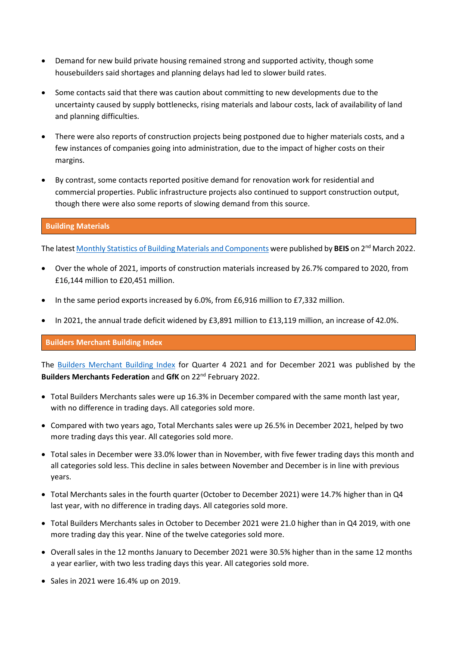- Demand for new build private housing remained strong and supported activity, though some housebuilders said shortages and planning delays had led to slower build rates.
- Some contacts said that there was caution about committing to new developments due to the uncertainty caused by supply bottlenecks, rising materials and labour costs, lack of availability of land and planning difficulties.
- There were also reports of construction projects being postponed due to higher materials costs, and a few instances of companies going into administration, due to the impact of higher costs on their margins.
- By contrast, some contacts reported positive demand for renovation work for residential and commercial properties. Public infrastructure projects also continued to support construction output, though there were also some reports of slowing demand from this source.

# **Building Materials**

The lates[t Monthly Statistics of Building Materials and Components w](https://www.gov.uk/government/statistics/building-materials-and-components-statistics-january-2022)ere published by **BEIS** on 2nd March 2022.

- Over the whole of 2021, imports of construction materials increased by 26.7% compared to 2020, from £16,144 million to £20,451 million.
- In the same period exports increased by 6.0%, from £6,916 million to £7,332 million.
- In 2021, the annual trade deficit widened by £3,891 million to £13,119 million, an increase of 42.0%.

### **Builders Merchant Building Index**

The [Builders Merchant Building Index](https://www.bmbi.co.uk/the-index/) for Quarter 4 2021 and for December 2021 was published by the **Builders Merchants Federation** and **GfK** on 22nd February 2022.

- Total Builders Merchants sales were up 16.3% in December compared with the same month last year, with no difference in trading days. All categories sold more.
- Compared with two years ago, Total Merchants sales were up 26.5% in December 2021, helped by two more trading days this year. All categories sold more.
- Total sales in December were 33.0% lower than in November, with five fewer trading days this month and all categories sold less. This decline in sales between November and December is in line with previous years.
- Total Merchants sales in the fourth quarter (October to December 2021) were 14.7% higher than in Q4 last year, with no difference in trading days. All categories sold more.
- Total Builders Merchants sales in October to December 2021 were 21.0 higher than in Q4 2019, with one more trading day this year. Nine of the twelve categories sold more.
- Overall sales in the 12 months January to December 2021 were 30.5% higher than in the same 12 months a year earlier, with two less trading days this year. All categories sold more.
- $\bullet$  Sales in 2021 were 16.4% up on 2019.